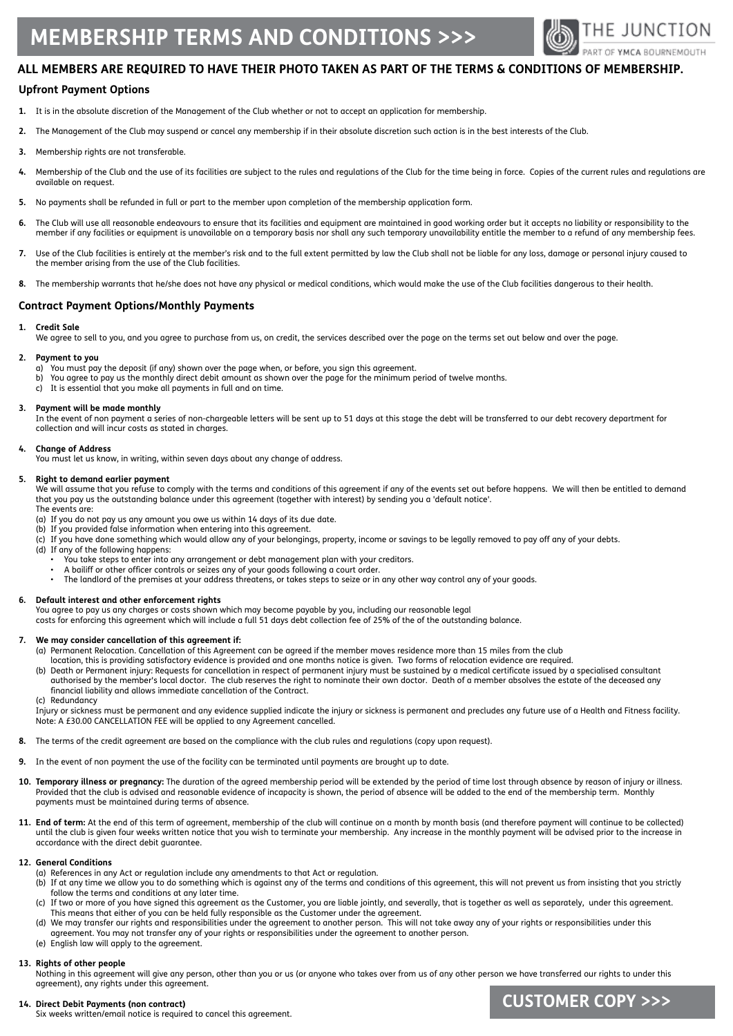# **Membership Terms and Conditions >>>**



# **ALL MEMBERS ARE REQUIRED TO HAVE THEIR PHOTO TAKEN AS PART OF THE TERMS & CONDITIONS OF MEMBERSHIP.**

# **Upfront Payment Options**

- **1.** It is in the absolute discretion of the Management of the Club whether or not to accept an application for membership.
- **2.** The Management of the Club may suspend or cancel any membership if in their absolute discretion such action is in the best interests of the Club.
- **3.** Membership rights are not transferable.
- 4. Membership of the Club and the use of its facilities are subject to the rules and regulations of the Club for the time being in force. Copies of the current rules and regulations are available on request.
- **5.** No payments shall be refunded in full or part to the member upon completion of the membership application form.
- **6.** The Club will use all reasonable endeavours to ensure that its facilities and equipment are maintained in good working order but it accepts no liability or responsibility to the member if any facilities or equipment is unavailable on a temporary basis nor shall any such temporary unavailability entitle the member to a refund of any membership fees.
- **7.** Use of the Club facilities is entirely at the member's risk and to the full extent permitted by law the Club shall not be liable for any loss, damage or personal injury caused to the member arising from the use of the Club facilities.
- **8.** The membership warrants that he/she does not have any physical or medical conditions, which would make the use of the Club facilities dangerous to their health.

### **Contract Payment Options/Monthly Payments**

#### **1. Credit Sale**

We agree to sell to you, and you agree to purchase from us, on credit, the services described over the page on the terms set out below and over the page.

# **2. Payment to you**

- You must pay the deposit (if any) shown over the page when, or before, you sign this agreement.
- b) You agree to pay us the monthly direct debit amount as shown over the page for the minimum period of twelve months.
- c) It is essential that you make all payments in full and on time.

#### **3. Payment will be made monthly**

In the event of non payment a series of non-chargeable letters will be sent up to 51 days at this stage the debt will be transferred to our debt recovery department for collection and will incur costs as stated in charges.

#### **4. Change of Address**

You must let us know, in writing, within seven days about any change of address.

#### **5. Right to demand earlier payment**

We will assume that you refuse to comply with the terms and conditions of this agreement if any of the events set out before happens. We will then be entitled to demand that you pay us the outstanding balance under this agreement (together with interest) by sending you a 'default notice'. The events are:

- (a) If you do not pay us any amount you owe us within 14 days of its due date.
- (b) If you provided false information when entering into this agreement.
- (c) If you have done something which would allow any of your belongings, property, income or savings to be legally removed to pay off any of your debts.
- (d) If any of the following happens:
	- You take steps to enter into any arrangement or debt management plan with your creditors.
	- A bailiff or other officer controls or seizes any of your goods following a court order.
	- The landlord of the premises at your address threatens, or takes steps to seize or in any other way control any of your goods.

#### **6. Default interest and other enforcement rights**

You agree to pay us any charges or costs shown which may become payable by you, including our reasonable legal

costs for enforcing this agreement which will include a full 51 days debt collection fee of 25% of the of the outstanding balance.

#### **7. We may consider cancellation of this agreement if:**

- (a) Permanent Relocation. Cancellation of this Agreement can be agreed if the member moves residence more than 15 miles from the club location, this is providing satisfactory evidence is provided and one months notice is given. Two forms of relocation evidence are required.
	- (b) Death or Permanent injury: Requests for cancellation in respect of permanent injury must be sustained by a medical certificate issued by a specialised consultant authorised by the member's local doctor. The club reserves the right to nominate their own doctor. Death of a member absolves the estate of the deceased any financial liability and allows immediate cancellation of the Contract.
	- (c) Redundancy

Injury or sickness must be permanent and any evidence supplied indicate the injury or sickness is permanent and precludes any future use of a Health and Fitness facility. Note: A £30.00 CANCELLATION FEE will be applied to any Agreement cancelled.

- **8.** The terms of the credit agreement are based on the compliance with the club rules and regulations (copy upon request).
- **9.** In the event of non payment the use of the facility can be terminated until payments are brought up to date.
- **10. Temporary illness or pregnancy:** The duration of the agreed membership period will be extended by the period of time lost through absence by reason of injury or illness. Provided that the club is advised and reasonable evidence of incapacity is shown, the period of absence will be added to the end of the membership term. Monthly payments must be maintained during terms of absence.
- **11. End of term:** At the end of this term of agreement, membership of the club will continue on a month by month basis (and therefore payment will continue to be collected) until the club is given four weeks written notice that you wish to terminate your membership. Any increase in the monthly payment will be advised prior to the increase in accordance with the direct debit guarantee.

#### **12. General Conditions**

- (a) References in any Act or regulation include any amendments to that Act or regulation.
- (b) If at any time we allow you to do something which is against any of the terms and conditions of this agreement, this will not prevent us from insisting that you strictly follow the terms and conditions at any later time.
- (c) If two or more of you have signed this agreement as the Customer, you are liable jointly, and severally, that is together as well as separately, under this agreement. This means that either of you can be held fully responsible as the Customer under the agreement.<br>(d) We may transfer our rights and responsibilities under the agreement to another person. This will r
- We may transfer our rights and responsibilities under the agreement to another person. This will not take away any of your rights or responsibilities under this agreement. You may not transfer any of your rights or responsibilities under the agreement to another person.
- (e) English law will apply to the agreement.

#### **13. Rights of other people**

Nothing in this agreement will give any person, other than you or us (or anyone who takes over from us of any other person we have transferred our rights to under this agreement), any rights under this agreement.

#### **14. Direct Debit Payments (non contract)** Six weeks written/email notice is required to cancel this agreement.